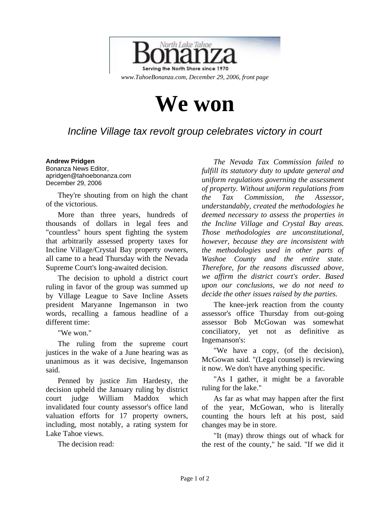

## **We won**

## *Incline Village tax revolt group celebrates victory in court*

## **Andrew Pridgen**

Bonanza News Editor, apridgen@tahoebonanza.com December 29, 2006

They're shouting from on high the chant of the victorious.

More than three years, hundreds of thousands of dollars in legal fees and "countless" hours spent fighting the system that arbitrarily assessed property taxes for Incline Village/Crystal Bay property owners, all came to a head Thursday with the Nevada Supreme Court's long-awaited decision.

The decision to uphold a district court ruling in favor of the group was summed up by Village League to Save Incline Assets president Maryanne Ingemanson in two words, recalling a famous headline of a different time:

"We won."

The ruling from the supreme court justices in the wake of a June hearing was as unanimous as it was decisive, Ingemanson said.

Penned by justice Jim Hardesty, the decision upheld the January ruling by district court judge William Maddox which invalidated four county assessor's office land valuation efforts for 17 property owners, including, most notably, a rating system for Lake Tahoe views.

The decision read:

*The Nevada Tax Commission failed to fulfill its statutory duty to update general and uniform regulations governing the assessment of property. Without uniform regulations from the Tax Commission, the Assessor, understandably, created the methodologies he deemed necessary to assess the properties in the Incline Village and Crystal Bay areas. Those methodologies are unconstitutional, however, because they are inconsistent with the methodologies used in other parts of Washoe County and the entire state. Therefore, for the reasons discussed above, we affirm the district court's order. Based upon our conclusions, we do not need to decide the other issues raised by the parties.* 

The knee-jerk reaction from the county assessor's office Thursday from out-going assessor Bob McGowan was somewhat conciliatory, yet not as definitive as Ingemanson's:

"We have a copy, (of the decision), McGowan said. "(Legal counsel) is reviewing it now. We don't have anything specific.

"As I gather, it might be a favorable ruling for the lake."

As far as what may happen after the first of the year, McGowan, who is literally counting the hours left at his post, said changes may be in store.

"It (may) throw things out of whack for the rest of the county," he said. "If we did it